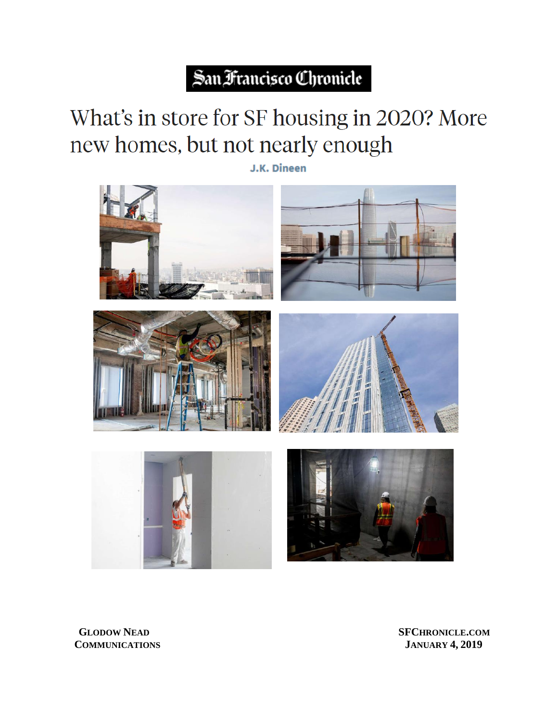## San Francisco Chronicle

## What's in store for SF housing in 2020? More new homes, but not nearly enough

J.K. Dineen



**GLODOW NEAD NEAD SF COMMUNICATIONS** 

**CHRONICLE .COM JANUARY 4 , 2019**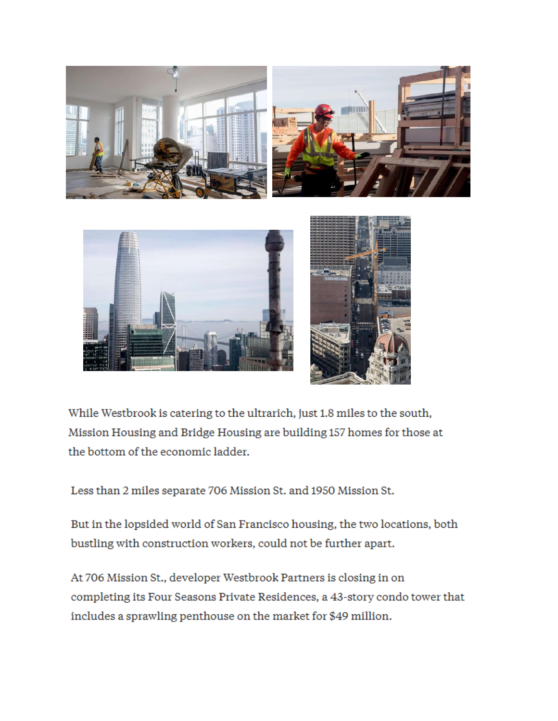

While Westbrook is catering to the ultrarich, just 1.8 miles to the south, Mission Housing and Bridge Housing are building 157 homes for those at the bottom of the economic ladder.

Less than 2 miles separate 706 Mission St. and 1950 Mission St.

But in the lopsided world of San Francisco housing, the two locations, both bustling with construction workers, could not be further apart.

At 706 Mission St., developer Westbrook Partners is closing in on completing its Four Seasons Private Residences, a 43-story condo tower that includes a sprawling penthouse on the market for \$49 million.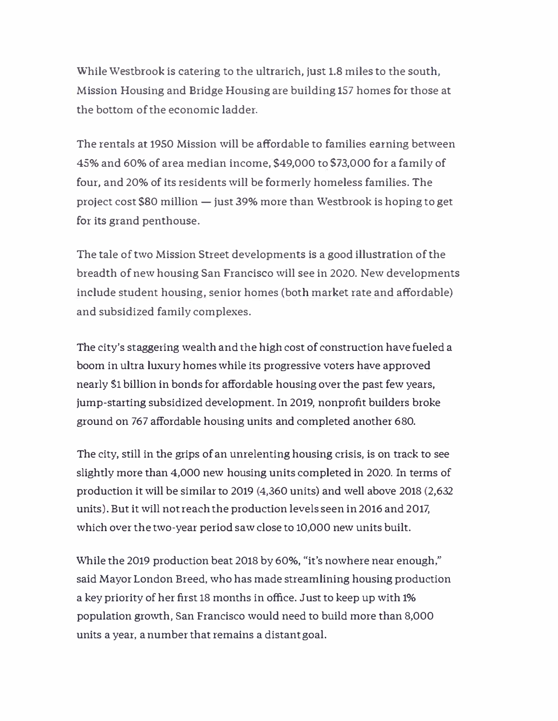\Vhile 'Westbrook is catering to the ultrarich, just 1.8 miles to the south, Mission Housing and Bridge Housing are building 157 homes for those at the bottom of the economic ladder.

The rentals at 1950 Mission will be affordable to families earning between 45% and 60% of area median income, \$49,000 to \$73,000 for a family of four, and 20% of its residents will be formerly homeless families. The project cost \$80 million  $-$  just 39% more than Westbrook is hoping to get for its grand penthouse.

The tale of two Mission Street developments is a good illustration of the breadth of new housing San Francisco will see in 2020. New developments include student housing, senior homes (both market rate and affordable) and subsidized family complexes.

The city's staggering wealth and the high cost of construction have fueled a boom in ultra luxury homes while its progressive voters have approved nearly \$1 billion in bonds for affordable housing over the past few years, jump-starting subsidized development. In 2019, nonprofit builders broke ground on 767 affordable housing units and completed another 680.

The city, still in the grips of an unrelenting housing crisis, is on track to see slightly more than 4,000 new housing units completed in 2020. In terms of production it will be similar to 2019 (4,360 units) and well above 2018 (2,632 units). But it will not reach the production levels seen in 2016 and 2017, which over the two-year period saw close to 10,000 new units built.

While the 2019 production beat 2018 by 60%, "it's nowhere near enough," said Mayor London Breed, who has made streamlining housing production a key priority of her first 18 months in office. Just to keep up with 1% population growth, San Francisco would need to build more than 8,000 units a year, a number that remains a distant goal.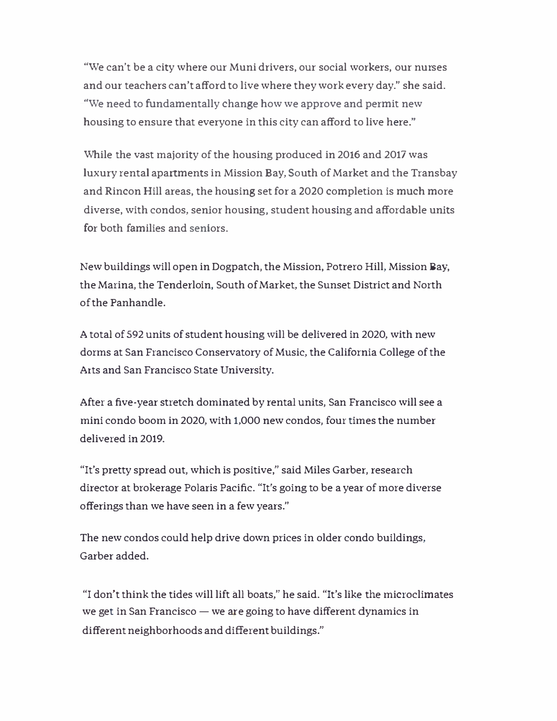"We can't be a city where our Muni drivers, our social workers, our nurses and our teachers can't afford to live where they work every day." she said. "We need to fundamentally change how we approve and permit new housing to ensure that everyone in this city can afford to live here."

While the vast majority of the housing produced in 2016 and 2017 was luxury rental apartments in Mission Bay, South of Market and the Transbay and Rincon Hill areas, the housing set for a 2020 completion is much more diverse, with condos, senior housing, student housing and affordable units for both families and seniors.

New buildings will open in Dogpatch, the Mission, Potrero Hill, Mission Bay, the Marina, the Tenderloin, South of Market, the Sunset District and North of the Panhandle.

A total of 592 units of student housing will be delivered in 2020, with new dorms at San Francisco Conservatory of Music, the California College of the Arts and San Francisco State University.

After a five-year stretch dominated by rental units, San Francisco will see a mini condo boom in 2020, with 1,000 new condos, four times the number delivered in 2019.

"It's pretty spread out, which is positive," said Miles Garber, research director at brokerage Polaris Pacific. "It's going to be a year of more diverse offerings than we have seen in a few years."

The new condos could help drive down prices in older condo buildings, Garber added.

"I don't think the tides \"lill lift all boats," he said. "It's like the microclimates we get in San Francisco  $-$  we are going to have different dynamics in different neighborhoods and different buildings."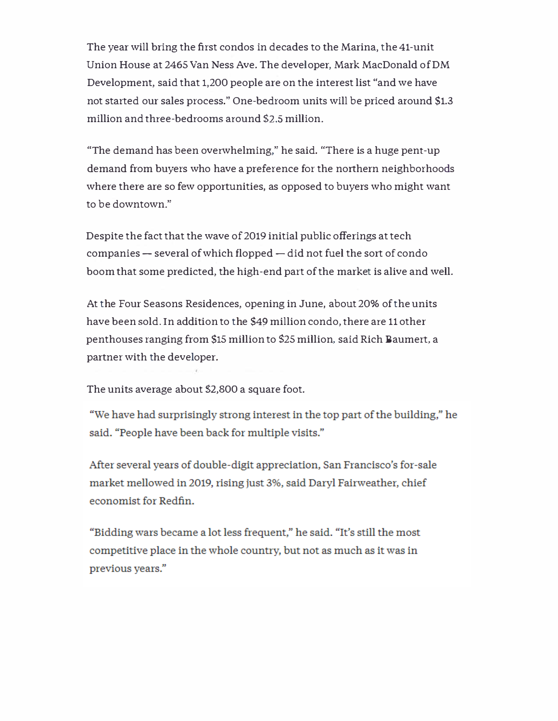The year will bring the first condos in decades to the Marina, the 41-unit Union House at 2465 Van Ness Ave. The developer, Mark MacDonald of DM Development, said that 1,200 people are on the interest list "and we have not started our sales process." One-bedroom units will be priced around \$1.3 million and three-bedrooms around *\$2.S* million.

"The demand has been overwhelming," he said. "There is a huge pent-up demand from buyers who have a preference for the northern neighborhoods where there are so few opportunities, as opposed to buyers who might want to be downtown."

Despite the fact that the wave of 2019 initial public offerings at tech companies - several of which flopped - did not fuel the sort of condo boom that some predicted, the high-end part of the market is alive and well.

At the Four Seasons Residences, opening in June, about 20% of the units have been sold. In addition to the \$49 million condo, there are 11 other penthouses ranging from \$15 million to \$25 million, said Rich Baumert, a partner with the developer.

The units average about *\$2,800* a square foot.

"We have had surprisingly strong interest in the top part of the building," he said. "People have been back for multiple visits."

After several years of double-digit appreciation, San Francisco's for-sale market mellowed in 2019, rising just 3%, said Daryl Fairweather, chief economist for Redfin.

"Bidding wars became a lot less frequent," he said. "It's still the most competitive place in the whole country, but not as much as it was in previous years."